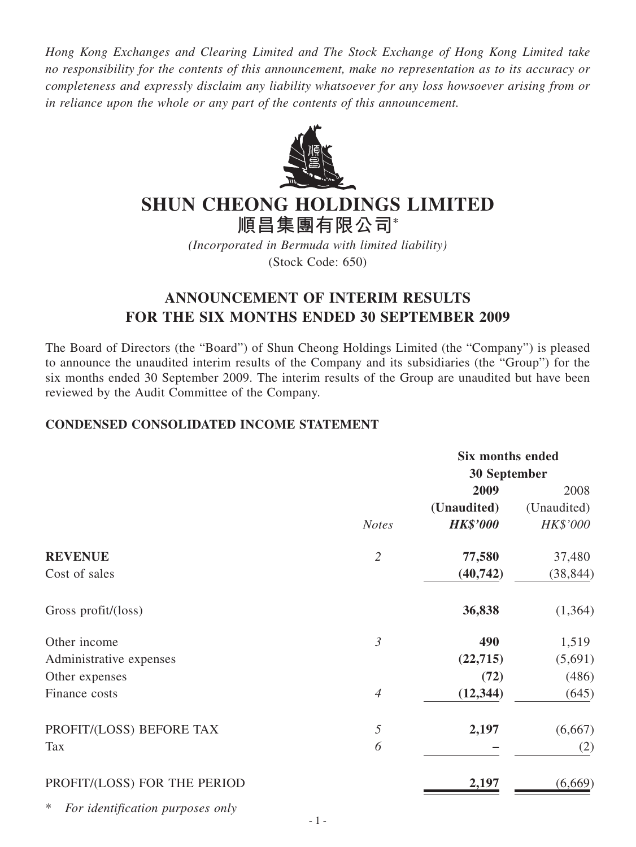*Hong Kong Exchanges and Clearing Limited and The Stock Exchange of Hong Kong Limited take no responsibility for the contents of this announcement, make no representation as to its accuracy or completeness and expressly disclaim any liability whatsoever for any loss howsoever arising from or in reliance upon the whole or any part of the contents of this announcement.*



# **SHUN CHEONG HOLDINGS LIMITED 順昌集團有限公司\***

*(Incorporated in Bermuda with limited liability)* (Stock Code: 650)

# **ANNOUNCEMENT OF INTERIM RESULTS FOR THE SIX MONTHS ENDED 30 SEPTEMBER 2009**

The Board of Directors (the "Board") of Shun Cheong Holdings Limited (the "Company") is pleased to announce the unaudited interim results of the Company and its subsidiaries (the "Group") for the six months ended 30 September 2009. The interim results of the Group are unaudited but have been reviewed by the Audit Committee of the Company.

# **CONDENSED CONSOLIDATED INCOME STATEMENT**

|                                       |                | <b>Six months ended</b> |             |
|---------------------------------------|----------------|-------------------------|-------------|
|                                       |                | <b>30 September</b>     |             |
|                                       |                | 2009                    | 2008        |
|                                       |                | (Unaudited)             | (Unaudited) |
|                                       | <b>Notes</b>   | <b>HK\$'000</b>         | HK\$'000    |
| <b>REVENUE</b>                        | $\mathfrak{2}$ | 77,580                  | 37,480      |
| Cost of sales                         |                | (40, 742)               | (38, 844)   |
| Gross profit/(loss)                   |                | 36,838                  | (1,364)     |
| Other income                          | $\mathfrak{Z}$ | 490                     | 1,519       |
| Administrative expenses               |                | (22,715)                | (5,691)     |
| Other expenses                        |                | (72)                    | (486)       |
| Finance costs                         | $\overline{4}$ | (12, 344)               | (645)       |
| PROFIT/(LOSS) BEFORE TAX              | $\sqrt{2}$     | 2,197                   | (6,667)     |
| Tax                                   | 6              |                         | (2)         |
| PROFIT/(LOSS) FOR THE PERIOD          |                | 2,197                   | (6,669)     |
| ∗<br>For identification purposes only |                |                         |             |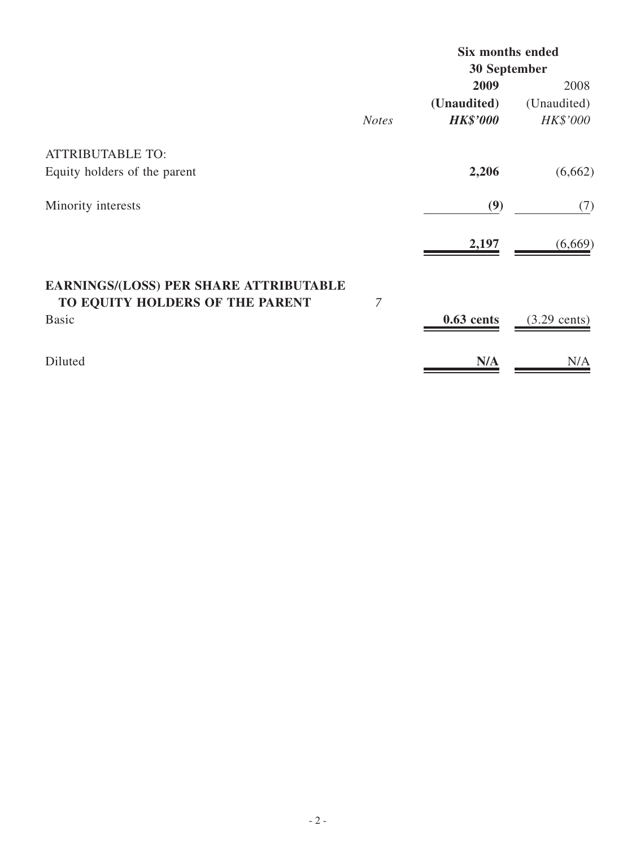|                                                                           |              | <b>Six months ended</b> |                        |
|---------------------------------------------------------------------------|--------------|-------------------------|------------------------|
|                                                                           |              | <b>30 September</b>     |                        |
|                                                                           |              | 2009                    | 2008                   |
|                                                                           |              | (Unaudited)             | (Unaudited)            |
|                                                                           | <b>Notes</b> | <b>HK\$'000</b>         | <b>HK\$'000</b>        |
| <b>ATTRIBUTABLE TO:</b>                                                   |              |                         |                        |
| Equity holders of the parent                                              |              | 2,206                   | (6,662)                |
| Minority interests                                                        |              | (9)                     | (7)                    |
|                                                                           |              | 2,197                   | (6,669)                |
| EARNINGS/(LOSS) PER SHARE ATTRIBUTABLE<br>TO EQUITY HOLDERS OF THE PARENT | 7            |                         |                        |
| <b>Basic</b>                                                              |              | $0.63$ cents            | $(3.29 \text{ cents})$ |
| Diluted                                                                   |              | N/A                     | N/A                    |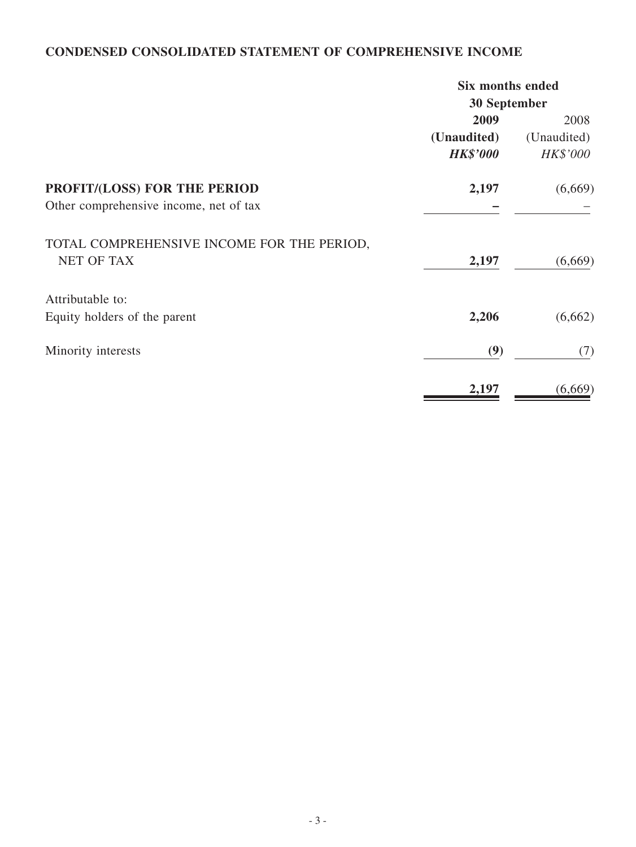# **CONDENSED CONSOLIDATED STATEMENT OF COMPREHENSIVE INCOME**

|                                                                 | <b>Six months ended</b> |                 |
|-----------------------------------------------------------------|-------------------------|-----------------|
|                                                                 | 30 September            |                 |
|                                                                 | 2009                    | 2008            |
|                                                                 | (Unaudited)             | (Unaudited)     |
|                                                                 | <b>HK\$'000</b>         | <b>HK\$'000</b> |
| PROFIT/(LOSS) FOR THE PERIOD                                    | 2,197                   | (6,669)         |
| Other comprehensive income, net of tax                          |                         |                 |
| TOTAL COMPREHENSIVE INCOME FOR THE PERIOD,<br><b>NET OF TAX</b> |                         |                 |
|                                                                 | 2,197                   | (6,669)         |
| Attributable to:                                                |                         |                 |
| Equity holders of the parent                                    | 2,206                   | (6,662)         |
| Minority interests                                              | (9)                     | (7)             |
|                                                                 | 2,197                   | (6,669)         |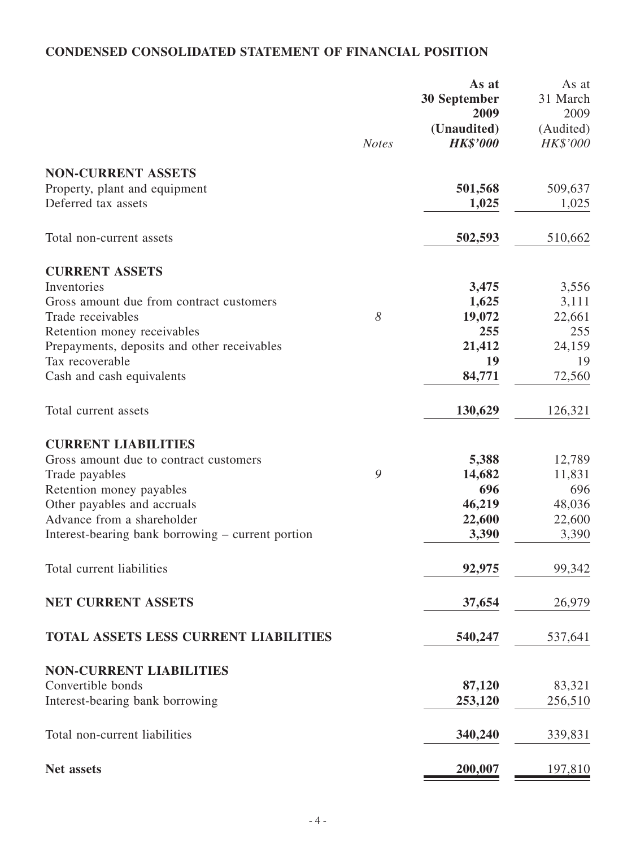# **CONDENSED CONSOLIDATED STATEMENT OF FINANCIAL POSITION**

|                                                   |              | As at                | As at            |
|---------------------------------------------------|--------------|----------------------|------------------|
|                                                   |              | 30 September<br>2009 | 31 March<br>2009 |
|                                                   |              | (Unaudited)          | (Audited)        |
|                                                   | <b>Notes</b> | <b>HK\$'000</b>      | HK\$'000         |
| <b>NON-CURRENT ASSETS</b>                         |              |                      |                  |
| Property, plant and equipment                     |              | 501,568              | 509,637          |
| Deferred tax assets                               |              | 1,025                | 1,025            |
| Total non-current assets                          |              | 502,593              | 510,662          |
| <b>CURRENT ASSETS</b>                             |              |                      |                  |
| Inventories                                       |              | 3,475                | 3,556            |
| Gross amount due from contract customers          |              | 1,625                | 3,111            |
| Trade receivables                                 | 8            | 19,072               | 22,661           |
| Retention money receivables                       |              | 255                  | 255              |
| Prepayments, deposits and other receivables       |              | 21,412               | 24,159           |
| Tax recoverable                                   |              | 19                   | 19               |
| Cash and cash equivalents                         |              | 84,771               | 72,560           |
| Total current assets                              |              | 130,629              | 126,321          |
| <b>CURRENT LIABILITIES</b>                        |              |                      |                  |
| Gross amount due to contract customers            |              | 5,388                | 12,789           |
| Trade payables                                    | 9            | 14,682               | 11,831           |
| Retention money payables                          |              | 696                  | 696              |
| Other payables and accruals                       |              | 46,219               | 48,036           |
| Advance from a shareholder                        |              | 22,600               | 22,600           |
| Interest-bearing bank borrowing – current portion |              | 3,390                | 3,390            |
| Total current liabilities                         |              | 92,975               | 99,342           |
| NET CURRENT ASSETS                                |              | 37,654               | 26,979           |
| <b>TOTAL ASSETS LESS CURRENT LIABILITIES</b>      |              | 540,247              | 537,641          |
| <b>NON-CURRENT LIABILITIES</b>                    |              |                      |                  |
| Convertible bonds                                 |              | 87,120               | 83,321           |
| Interest-bearing bank borrowing                   |              | 253,120              | 256,510          |
| Total non-current liabilities                     |              | 340,240              | 339,831          |
| <b>Net assets</b>                                 |              | 200,007              | 197,810          |
|                                                   |              |                      |                  |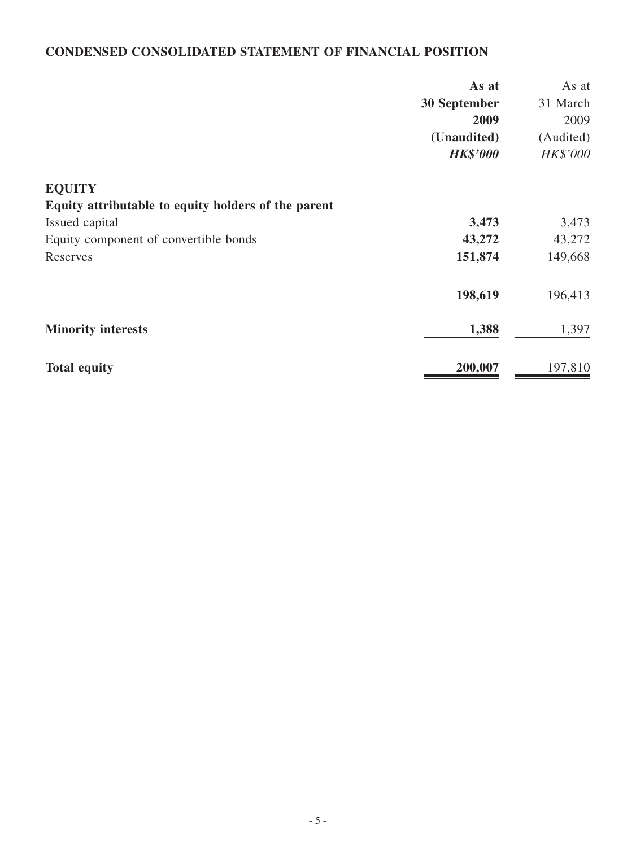# **CONDENSED CONSOLIDATED STATEMENT OF FINANCIAL POSITION**

|                                                     | As at           | As at     |
|-----------------------------------------------------|-----------------|-----------|
|                                                     | 30 September    | 31 March  |
|                                                     | 2009            | 2009      |
|                                                     | (Unaudited)     | (Audited) |
|                                                     | <b>HK\$'000</b> | HK\$'000  |
| <b>EQUITY</b>                                       |                 |           |
| Equity attributable to equity holders of the parent |                 |           |
| Issued capital                                      | 3,473           | 3,473     |
| Equity component of convertible bonds               | 43,272          | 43,272    |
| Reserves                                            | 151,874         | 149,668   |
|                                                     | 198,619         | 196,413   |
| <b>Minority interests</b>                           | 1,388           | 1,397     |
| <b>Total equity</b>                                 | 200,007         | 197,810   |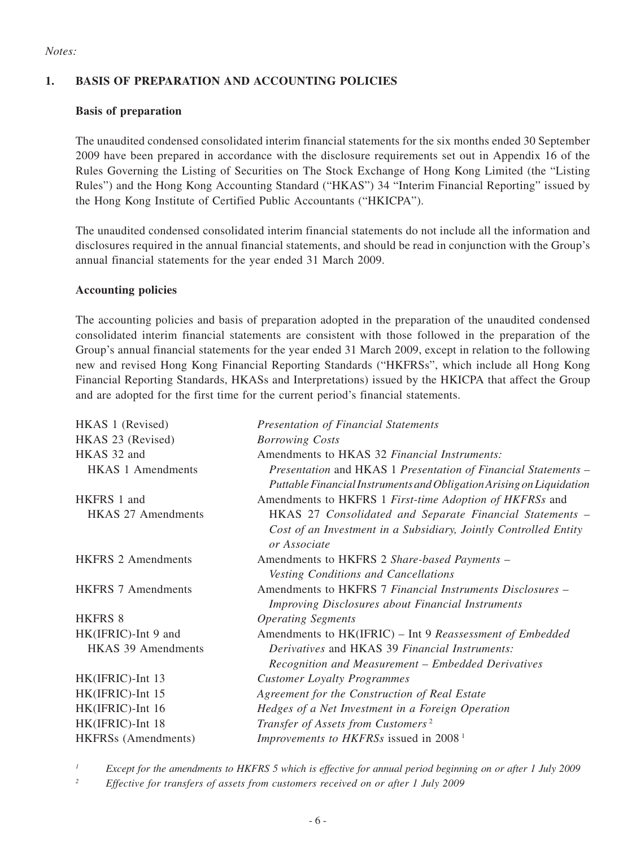#### *Notes:*

### **1. BASIS OF PREPARATION AND ACCOUNTING POLICIES**

#### **Basis of preparation**

The unaudited condensed consolidated interim financial statements for the six months ended 30 September 2009 have been prepared in accordance with the disclosure requirements set out in Appendix 16 of the Rules Governing the Listing of Securities on The Stock Exchange of Hong Kong Limited (the "Listing Rules") and the Hong Kong Accounting Standard ("HKAS") 34 "Interim Financial Reporting" issued by the Hong Kong Institute of Certified Public Accountants ("HKICPA").

The unaudited condensed consolidated interim financial statements do not include all the information and disclosures required in the annual financial statements, and should be read in conjunction with the Group's annual financial statements for the year ended 31 March 2009.

#### **Accounting policies**

The accounting policies and basis of preparation adopted in the preparation of the unaudited condensed consolidated interim financial statements are consistent with those followed in the preparation of the Group's annual financial statements for the year ended 31 March 2009, except in relation to the following new and revised Hong Kong Financial Reporting Standards ("HKFRSs", which include all Hong Kong Financial Reporting Standards, HKASs and Interpretations) issued by the HKICPA that affect the Group and are adopted for the first time for the current period's financial statements.

| HKAS 1 (Revised)          | <b>Presentation of Financial Statements</b>                                                                                            |
|---------------------------|----------------------------------------------------------------------------------------------------------------------------------------|
| HKAS 23 (Revised)         | <b>Borrowing Costs</b>                                                                                                                 |
| HKAS 32 and               | Amendments to HKAS 32 Financial Instruments:                                                                                           |
| <b>HKAS 1 Amendments</b>  | Presentation and HKAS 1 Presentation of Financial Statements -<br>Puttable Financial Instruments and Obligation Arising on Liquidation |
| HKFRS 1 and               | Amendments to HKFRS 1 First-time Adoption of HKFRSs and                                                                                |
| <b>HKAS 27 Amendments</b> | HKAS 27 Consolidated and Separate Financial Statements –                                                                               |
|                           | Cost of an Investment in a Subsidiary, Jointly Controlled Entity<br>or Associate                                                       |
| <b>HKFRS 2 Amendments</b> | Amendments to HKFRS 2 Share-based Payments -                                                                                           |
|                           | Vesting Conditions and Cancellations                                                                                                   |
| <b>HKFRS 7 Amendments</b> | Amendments to HKFRS 7 Financial Instruments Disclosures -                                                                              |
|                           | <b>Improving Disclosures about Financial Instruments</b>                                                                               |
| <b>HKFRS 8</b>            | <b>Operating Segments</b>                                                                                                              |
| HK(IFRIC)-Int 9 and       | Amendments to HK(IFRIC) - Int 9 Reassessment of Embedded                                                                               |
| <b>HKAS 39 Amendments</b> | Derivatives and HKAS 39 Financial Instruments:                                                                                         |
|                           | Recognition and Measurement - Embedded Derivatives                                                                                     |
| HK(IFRIC)-Int 13          | <b>Customer Loyalty Programmes</b>                                                                                                     |
| HK(IFRIC)-Int 15          | Agreement for the Construction of Real Estate                                                                                          |
| HK(IFRIC)-Int 16          | Hedges of a Net Investment in a Foreign Operation                                                                                      |
| HK(IFRIC)-Int 18          | Transfer of Assets from Customers <sup>2</sup>                                                                                         |
| HKFRSs (Amendments)       | <i>Improvements to HKFRSs</i> issued in 2008 <sup>1</sup>                                                                              |
|                           |                                                                                                                                        |

*<sup>1</sup> Except for the amendments to HKFRS 5 which is effective for annual period beginning on or after 1 July 2009*

*<sup>2</sup> Effective for transfers of assets from customers received on or after 1 July 2009*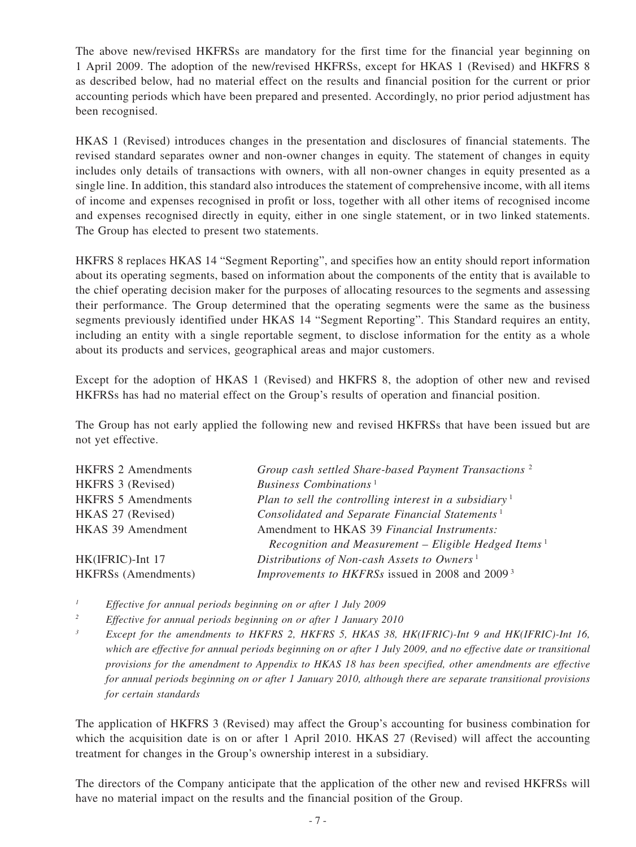The above new/revised HKFRSs are mandatory for the first time for the financial year beginning on 1 April 2009. The adoption of the new/revised HKFRSs, except for HKAS 1 (Revised) and HKFRS 8 as described below, had no material effect on the results and financial position for the current or prior accounting periods which have been prepared and presented. Accordingly, no prior period adjustment has been recognised.

HKAS 1 (Revised) introduces changes in the presentation and disclosures of financial statements. The revised standard separates owner and non-owner changes in equity. The statement of changes in equity includes only details of transactions with owners, with all non-owner changes in equity presented as a single line. In addition, this standard also introduces the statement of comprehensive income, with all items of income and expenses recognised in profit or loss, together with all other items of recognised income and expenses recognised directly in equity, either in one single statement, or in two linked statements. The Group has elected to present two statements.

HKFRS 8 replaces HKAS 14 "Segment Reporting", and specifies how an entity should report information about its operating segments, based on information about the components of the entity that is available to the chief operating decision maker for the purposes of allocating resources to the segments and assessing their performance. The Group determined that the operating segments were the same as the business segments previously identified under HKAS 14 "Segment Reporting". This Standard requires an entity, including an entity with a single reportable segment, to disclose information for the entity as a whole about its products and services, geographical areas and major customers.

Except for the adoption of HKAS 1 (Revised) and HKFRS 8, the adoption of other new and revised HKFRSs has had no material effect on the Group's results of operation and financial position.

The Group has not early applied the following new and revised HKFRSs that have been issued but are not yet effective.

| <b>HKFRS 2 Amendments</b>  | Group cash settled Share-based Payment Transactions <sup>2</sup>    |
|----------------------------|---------------------------------------------------------------------|
| HKFRS 3 (Revised)          | Business Combinations <sup><math>1</math></sup>                     |
| <b>HKFRS 5 Amendments</b>  | Plan to sell the controlling interest in a subsidiary $\frac{1}{1}$ |
| HKAS 27 (Revised)          | Consolidated and Separate Financial Statements <sup>1</sup>         |
| HKAS 39 Amendment          | Amendment to HKAS 39 Financial Instruments:                         |
|                            | Recognition and Measurement – Eligible Hedged Items <sup>1</sup>    |
| HK(IFRIC)-Int 17           | Distributions of Non-cash Assets to Owners <sup>1</sup>             |
| <b>HKFRSs</b> (Amendments) | <i>Improvements to HKFRSs</i> issued in 2008 and 2009 <sup>3</sup>  |

*<sup>1</sup> Effective for annual periods beginning on or after 1 July 2009*

*<sup>2</sup> Effective for annual periods beginning on or after 1 January 2010*

*<sup>3</sup> Except for the amendments to HKFRS 2, HKFRS 5, HKAS 38, HK(IFRIC)-Int 9 and HK(IFRIC)-Int 16, which are effective for annual periods beginning on or after 1 July 2009, and no effective date or transitional provisions for the amendment to Appendix to HKAS 18 has been specified, other amendments are effective for annual periods beginning on or after 1 January 2010, although there are separate transitional provisions for certain standards*

The application of HKFRS 3 (Revised) may affect the Group's accounting for business combination for which the acquisition date is on or after 1 April 2010. HKAS 27 (Revised) will affect the accounting treatment for changes in the Group's ownership interest in a subsidiary.

The directors of the Company anticipate that the application of the other new and revised HKFRSs will have no material impact on the results and the financial position of the Group.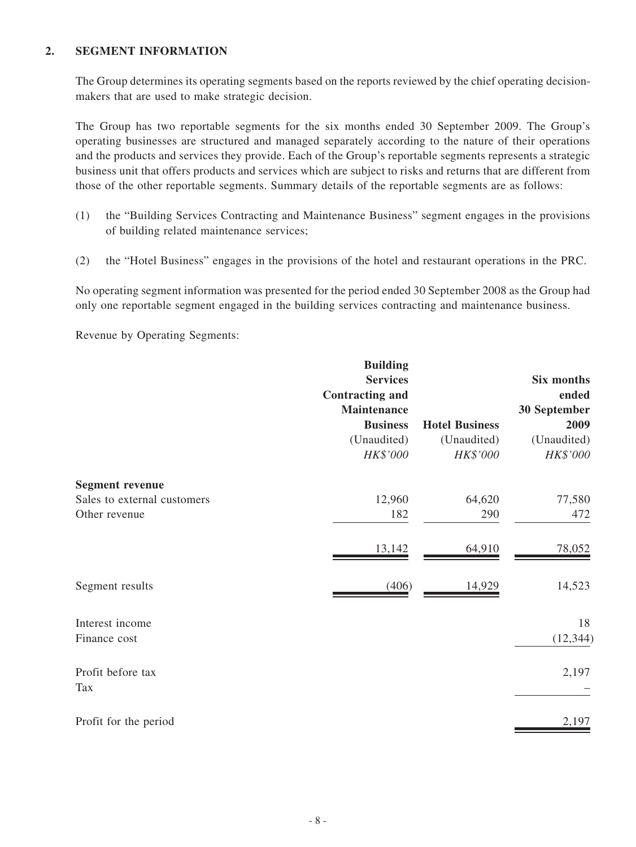#### **2. SEGMENT INFORMATION**

The Group determines its operating segments based on the reports reviewed by the chief operating decisionmakers that are used to make strategic decision.

The Group has two reportable segments for the six months ended 30 September 2009. The Group's operating businesses are structured and managed separately according to the nature of their operations and the products and services they provide. Each of the Group's reportable segments represents a strategic business unit that offers products and services which are subject to risks and returns that are different from those of the other reportable segments. Summary details of the reportable segments are as follows:

- (1) the "Building Services Contracting and Maintenance Business" segment engages in the provisions of building related maintenance services;
- (2) the "Hotel Business" engages in the provisions of the hotel and restaurant operations in the PRC.

No operating segment information was presented for the period ended 30 September 2008 as the Group had only one reportable segment engaged in the building services contracting and maintenance business.

Revenue by Operating Segments:

|                             | <b>Building</b>        |                       |              |
|-----------------------------|------------------------|-----------------------|--------------|
|                             | <b>Services</b>        |                       | Six months   |
|                             | <b>Contracting and</b> |                       | ended        |
|                             | <b>Maintenance</b>     |                       | 30 September |
|                             | <b>Business</b>        | <b>Hotel Business</b> | 2009         |
|                             | (Unaudited)            | (Unaudited)           | (Unaudited)  |
|                             | HK\$'000               | HK\$'000              | HK\$'000     |
| <b>Segment revenue</b>      |                        |                       |              |
| Sales to external customers | 12,960                 | 64,620                | 77,580       |
| Other revenue               | 182                    | 290                   | 472          |
|                             | 13,142                 | 64,910                | 78,052       |
| Segment results             | (406)                  | 14,929                | 14,523       |
| Interest income             |                        |                       | 18           |
| Finance cost                |                        |                       | (12, 344)    |
| Profit before tax<br>Tax    |                        |                       | 2,197        |
| Profit for the period       |                        |                       | 2,197        |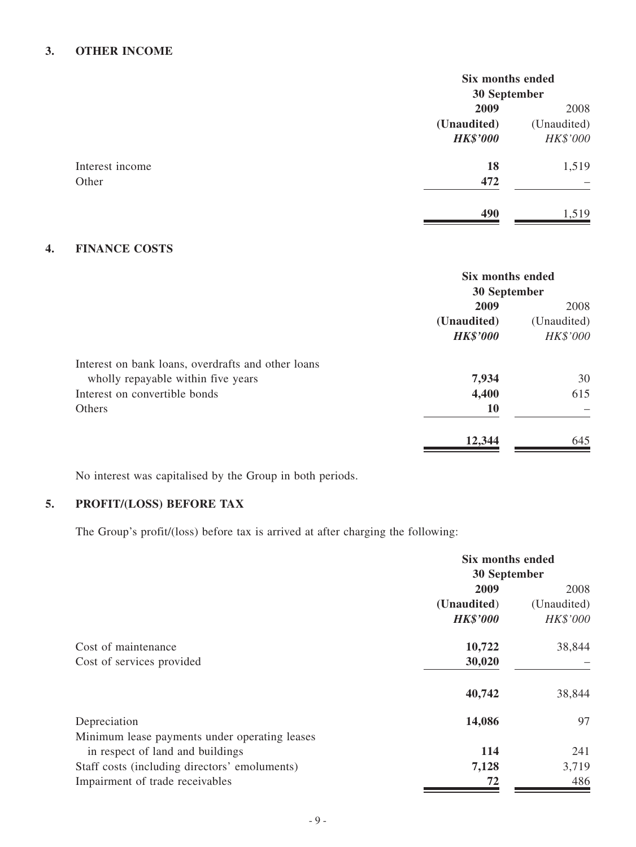# **3. OTHER income**

|                 | Six months ended<br>30 September |             |
|-----------------|----------------------------------|-------------|
|                 |                                  |             |
|                 | 2009                             | 2008        |
|                 | (Unaudited)                      | (Unaudited) |
|                 | <b>HK\$'000</b>                  | HK\$'000    |
| Interest income | 18                               | 1,519       |
| Other           | 472                              |             |
|                 | 490                              | 1,519       |

# **4. FINANCE COSTS**

|                                                    | Six months ended |             |
|----------------------------------------------------|------------------|-------------|
|                                                    | 30 September     |             |
|                                                    | 2009             | 2008        |
|                                                    | (Unaudited)      | (Unaudited) |
|                                                    | <b>HK\$'000</b>  | HK\$'000    |
| Interest on bank loans, overdrafts and other loans |                  |             |
| wholly repayable within five years                 | 7,934            | 30          |
| Interest on convertible bonds                      | 4,400            | 615         |
| Others                                             | <b>10</b>        |             |
|                                                    | 12,344           | 645         |

No interest was capitalised by the Group in both periods.

# **5. PROFIT/(LOSS) BEFORE TAX**

The Group's profit/(loss) before tax is arrived at after charging the following:

|                                               | <b>Six months ended</b><br>30 September |                     |
|-----------------------------------------------|-----------------------------------------|---------------------|
|                                               | 2009                                    |                     |
|                                               | (Unaudited)                             | 2008<br>(Unaudited) |
|                                               | <b>HK\$'000</b>                         | HK\$'000            |
| Cost of maintenance                           | 10,722                                  | 38,844              |
| Cost of services provided                     | 30,020                                  |                     |
|                                               | 40,742                                  | 38,844              |
| Depreciation                                  | 14,086                                  | 97                  |
| Minimum lease payments under operating leases |                                         |                     |
| in respect of land and buildings              | 114                                     | 241                 |
| Staff costs (including directors' emoluments) | 7,128                                   | 3,719               |
| Impairment of trade receivables               | 72                                      | 486                 |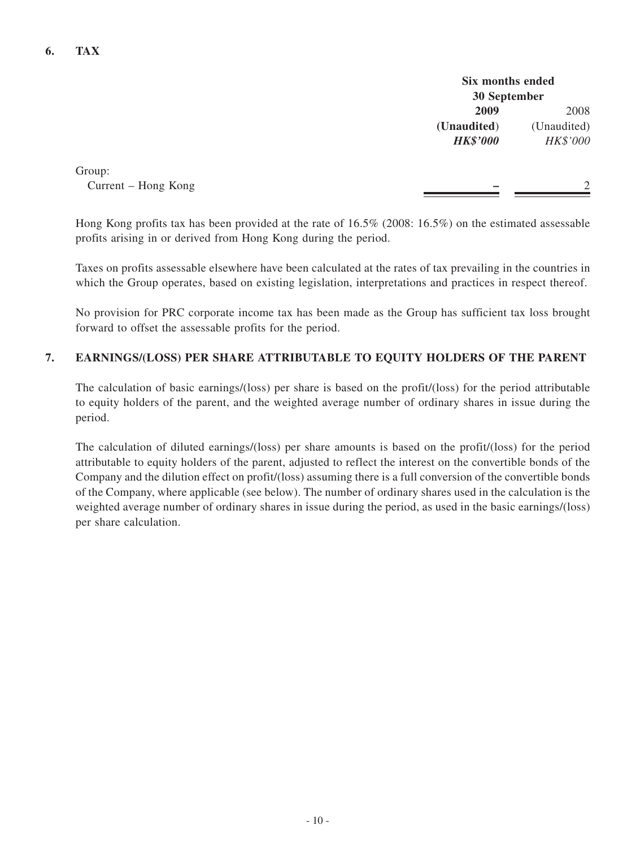**Six months ended 30 September 2009** 2008 **(Unaudited**) (Unaudited) *HK\$'000 HK\$'000*

Group: Current – Hong Kong

Hong Kong profits tax has been provided at the rate of 16.5% (2008: 16.5%) on the estimated assessable profits arising in or derived from Hong Kong during the period.

Taxes on profits assessable elsewhere have been calculated at the rates of tax prevailing in the countries in which the Group operates, based on existing legislation, interpretations and practices in respect thereof.

No provision for PRC corporate income tax has been made as the Group has sufficient tax loss brought forward to offset the assessable profits for the period.

#### **7. EARNINGS/(LOSS) PER SHARE ATTRIBUTABLE TO EQUITY HOLDERS OF THE PARENT**

The calculation of basic earnings/(loss) per share is based on the profit/(loss) for the period attributable to equity holders of the parent, and the weighted average number of ordinary shares in issue during the period.

The calculation of diluted earnings/(loss) per share amounts is based on the profit/(loss) for the period attributable to equity holders of the parent, adjusted to reflect the interest on the convertible bonds of the Company and the dilution effect on profit/(loss) assuming there is a full conversion of the convertible bonds of the Company, where applicable (see below). The number of ordinary shares used in the calculation is the weighted average number of ordinary shares in issue during the period, as used in the basic earnings/(loss) per share calculation.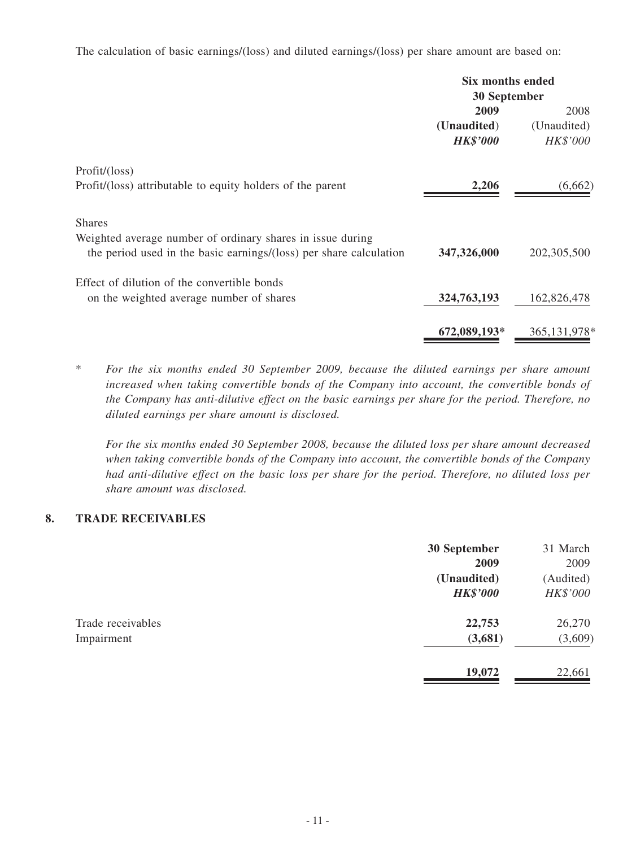The calculation of basic earnings/(loss) and diluted earnings/(loss) per share amount are based on:

|                                                                                                                                  | Six months ended |                |
|----------------------------------------------------------------------------------------------------------------------------------|------------------|----------------|
|                                                                                                                                  | 30 September     |                |
|                                                                                                                                  | 2009             | 2008           |
|                                                                                                                                  | (Unaudited)      | (Unaudited)    |
|                                                                                                                                  | <b>HK\$'000</b>  | HK\$'000       |
| Profit/ (loss)                                                                                                                   |                  |                |
| Profit/(loss) attributable to equity holders of the parent                                                                       | 2,206            | (6,662)        |
| <b>Shares</b>                                                                                                                    |                  |                |
| Weighted average number of ordinary shares in issue during<br>the period used in the basic earnings/(loss) per share calculation | 347,326,000      | 202, 305, 500  |
| Effect of dilution of the convertible bonds                                                                                      |                  |                |
| on the weighted average number of shares                                                                                         | 324,763,193      | 162,826,478    |
|                                                                                                                                  | 672,089,193*     | 365, 131, 978* |

\* *For the six months ended 30 September 2009, because the diluted earnings per share amount increased when taking convertible bonds of the Company into account, the convertible bonds of the Company has anti-dilutive effect on the basic earnings per share for the period. Therefore, no diluted earnings per share amount is disclosed.*

*For the six months ended 30 September 2008, because the diluted loss per share amount decreased when taking convertible bonds of the Company into account, the convertible bonds of the Company had anti-dilutive effect on the basic loss per share for the period. Therefore, no diluted loss per share amount was disclosed.*

### **8. TRADE RECEIVABLES**

|                   | 30 September    | 31 March  |
|-------------------|-----------------|-----------|
|                   | 2009            | 2009      |
|                   | (Unaudited)     | (Audited) |
|                   | <b>HK\$'000</b> | HK\$'000  |
| Trade receivables | 22,753          | 26,270    |
| Impairment        | (3,681)         | (3,609)   |
|                   | 19,072          | 22,661    |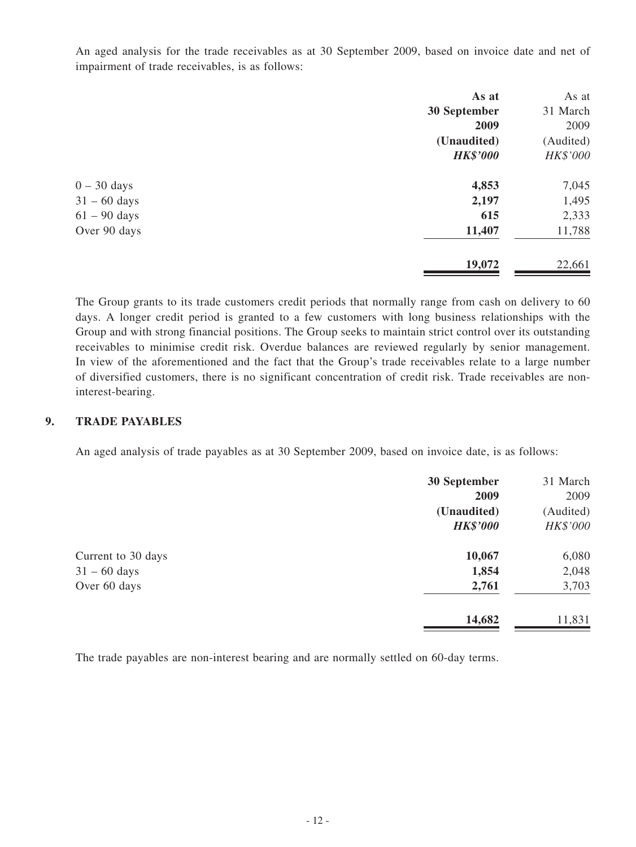An aged analysis for the trade receivables as at 30 September 2009, based on invoice date and net of impairment of trade receivables, is as follows:

| As at           | As at     |
|-----------------|-----------|
| 30 September    | 31 March  |
| 2009            | 2009      |
| (Unaudited)     | (Audited) |
| <b>HK\$'000</b> | HK\$'000  |
| 4,853           | 7,045     |
| 2,197           | 1,495     |
| 615             | 2,333     |
| 11,407          | 11,788    |
| 19,072          | 22,661    |
|                 |           |

The Group grants to its trade customers credit periods that normally range from cash on delivery to 60 days. A longer credit period is granted to a few customers with long business relationships with the Group and with strong financial positions. The Group seeks to maintain strict control over its outstanding receivables to minimise credit risk. Overdue balances are reviewed regularly by senior management. In view of the aforementioned and the fact that the Group's trade receivables relate to a large number of diversified customers, there is no significant concentration of credit risk. Trade receivables are noninterest-bearing.

#### **9. TRADE PAYABLES**

An aged analysis of trade payables as at 30 September 2009, based on invoice date, is as follows:

|                    | 30 September<br>2009 | 31 March<br>2009 |
|--------------------|----------------------|------------------|
|                    | (Unaudited)          | (Audited)        |
|                    | <b>HK\$'000</b>      | HK\$'000         |
| Current to 30 days | 10,067               | 6,080            |
| $31 - 60$ days     | 1,854                | 2,048            |
| Over 60 days       | 2,761                | 3,703            |
|                    | 14,682               | 11,831           |

The trade payables are non-interest bearing and are normally settled on 60-day terms.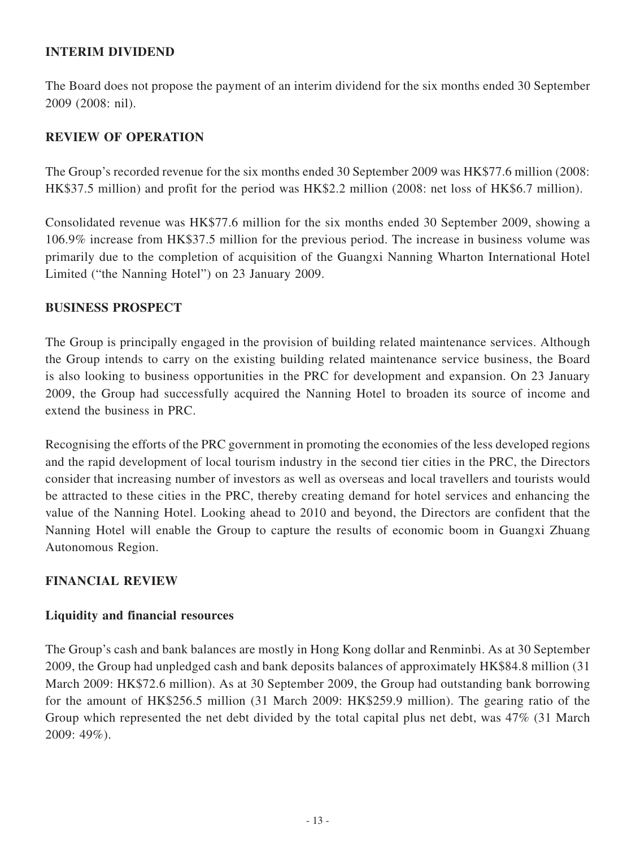# **INTERIM DIVIDEND**

The Board does not propose the payment of an interim dividend for the six months ended 30 September 2009 (2008: nil).

# **REVIEW OF OPERATION**

The Group's recorded revenue for the six months ended 30 September 2009 was HK\$77.6 million (2008: HK\$37.5 million) and profit for the period was HK\$2.2 million (2008: net loss of HK\$6.7 million).

Consolidated revenue was HK\$77.6 million for the six months ended 30 September 2009, showing a 106.9% increase from HK\$37.5 million for the previous period. The increase in business volume was primarily due to the completion of acquisition of the Guangxi Nanning Wharton International Hotel Limited ("the Nanning Hotel") on 23 January 2009.

### **BUSINESS PROSPECT**

The Group is principally engaged in the provision of building related maintenance services. Although the Group intends to carry on the existing building related maintenance service business, the Board is also looking to business opportunities in the PRC for development and expansion. On 23 January 2009, the Group had successfully acquired the Nanning Hotel to broaden its source of income and extend the business in PRC.

Recognising the efforts of the PRC government in promoting the economies of the less developed regions and the rapid development of local tourism industry in the second tier cities in the PRC, the Directors consider that increasing number of investors as well as overseas and local travellers and tourists would be attracted to these cities in the PRC, thereby creating demand for hotel services and enhancing the value of the Nanning Hotel. Looking ahead to 2010 and beyond, the Directors are confident that the Nanning Hotel will enable the Group to capture the results of economic boom in Guangxi Zhuang Autonomous Region.

# **FINANCIAL REVIEW**

# **Liquidity and financial resources**

The Group's cash and bank balances are mostly in Hong Kong dollar and Renminbi. As at 30 September 2009, the Group had unpledged cash and bank deposits balances of approximately HK\$84.8 million (31 March 2009: HK\$72.6 million). As at 30 September 2009, the Group had outstanding bank borrowing for the amount of HK\$256.5 million (31 March 2009: HK\$259.9 million). The gearing ratio of the Group which represented the net debt divided by the total capital plus net debt, was 47% (31 March 2009: 49%).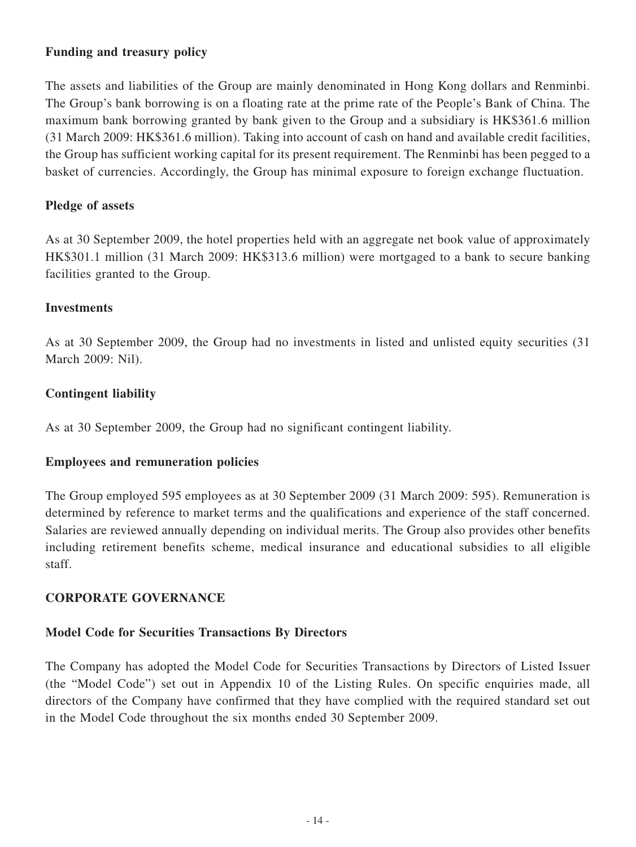# **Funding and treasury policy**

The assets and liabilities of the Group are mainly denominated in Hong Kong dollars and Renminbi. The Group's bank borrowing is on a floating rate at the prime rate of the People's Bank of China. The maximum bank borrowing granted by bank given to the Group and a subsidiary is HK\$361.6 million (31 March 2009: HK\$361.6 million). Taking into account of cash on hand and available credit facilities, the Group has sufficient working capital for its present requirement. The Renminbi has been pegged to a basket of currencies. Accordingly, the Group has minimal exposure to foreign exchange fluctuation.

# **Pledge of assets**

As at 30 September 2009, the hotel properties held with an aggregate net book value of approximately HK\$301.1 million (31 March 2009: HK\$313.6 million) were mortgaged to a bank to secure banking facilities granted to the Group.

# **Investments**

As at 30 September 2009, the Group had no investments in listed and unlisted equity securities (31 March 2009: Nil).

# **Contingent liability**

As at 30 September 2009, the Group had no significant contingent liability.

# **Employees and remuneration policies**

The Group employed 595 employees as at 30 September 2009 (31 March 2009: 595). Remuneration is determined by reference to market terms and the qualifications and experience of the staff concerned. Salaries are reviewed annually depending on individual merits. The Group also provides other benefits including retirement benefits scheme, medical insurance and educational subsidies to all eligible staff.

# **CORPORATE GOVERNANCE**

# **Model Code for Securities Transactions By Directors**

The Company has adopted the Model Code for Securities Transactions by Directors of Listed Issuer (the "Model Code") set out in Appendix 10 of the Listing Rules. On specific enquiries made, all directors of the Company have confirmed that they have complied with the required standard set out in the Model Code throughout the six months ended 30 September 2009.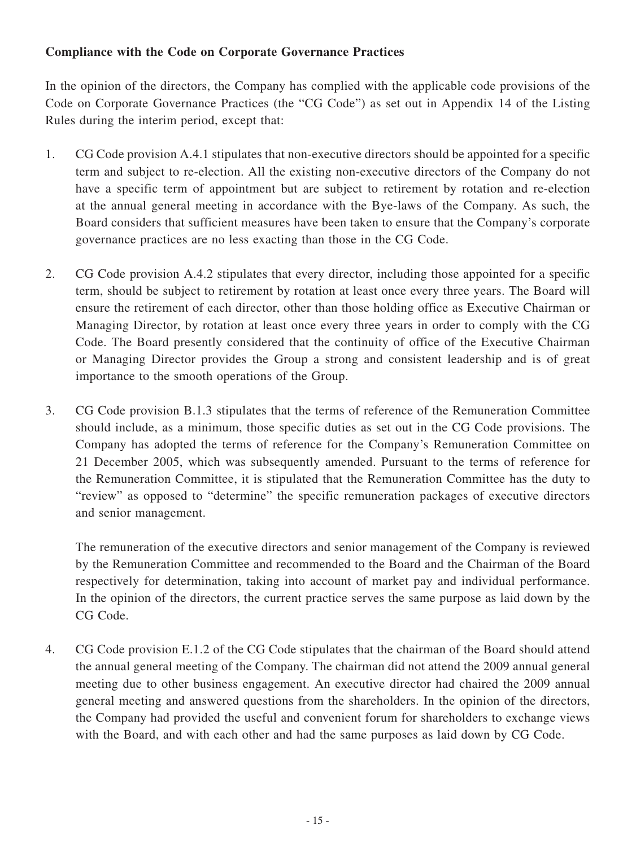# **Compliance with the Code on Corporate Governance Practices**

In the opinion of the directors, the Company has complied with the applicable code provisions of the Code on Corporate Governance Practices (the "CG Code") as set out in Appendix 14 of the Listing Rules during the interim period, except that:

- 1. CG Code provision A.4.1 stipulates that non-executive directors should be appointed for a specific term and subject to re-election. All the existing non-executive directors of the Company do not have a specific term of appointment but are subject to retirement by rotation and re-election at the annual general meeting in accordance with the Bye-laws of the Company. As such, the Board considers that sufficient measures have been taken to ensure that the Company's corporate governance practices are no less exacting than those in the CG Code.
- 2. CG Code provision A.4.2 stipulates that every director, including those appointed for a specific term, should be subject to retirement by rotation at least once every three years. The Board will ensure the retirement of each director, other than those holding office as Executive Chairman or Managing Director, by rotation at least once every three years in order to comply with the CG Code. The Board presently considered that the continuity of office of the Executive Chairman or Managing Director provides the Group a strong and consistent leadership and is of great importance to the smooth operations of the Group.
- 3. CG Code provision B.1.3 stipulates that the terms of reference of the Remuneration Committee should include, as a minimum, those specific duties as set out in the CG Code provisions. The Company has adopted the terms of reference for the Company's Remuneration Committee on 21 December 2005, which was subsequently amended. Pursuant to the terms of reference for the Remuneration Committee, it is stipulated that the Remuneration Committee has the duty to "review" as opposed to "determine" the specific remuneration packages of executive directors and senior management.

The remuneration of the executive directors and senior management of the Company is reviewed by the Remuneration Committee and recommended to the Board and the Chairman of the Board respectively for determination, taking into account of market pay and individual performance. In the opinion of the directors, the current practice serves the same purpose as laid down by the CG Code.

4. CG Code provision E.1.2 of the CG Code stipulates that the chairman of the Board should attend the annual general meeting of the Company. The chairman did not attend the 2009 annual general meeting due to other business engagement. An executive director had chaired the 2009 annual general meeting and answered questions from the shareholders. In the opinion of the directors, the Company had provided the useful and convenient forum for shareholders to exchange views with the Board, and with each other and had the same purposes as laid down by CG Code.